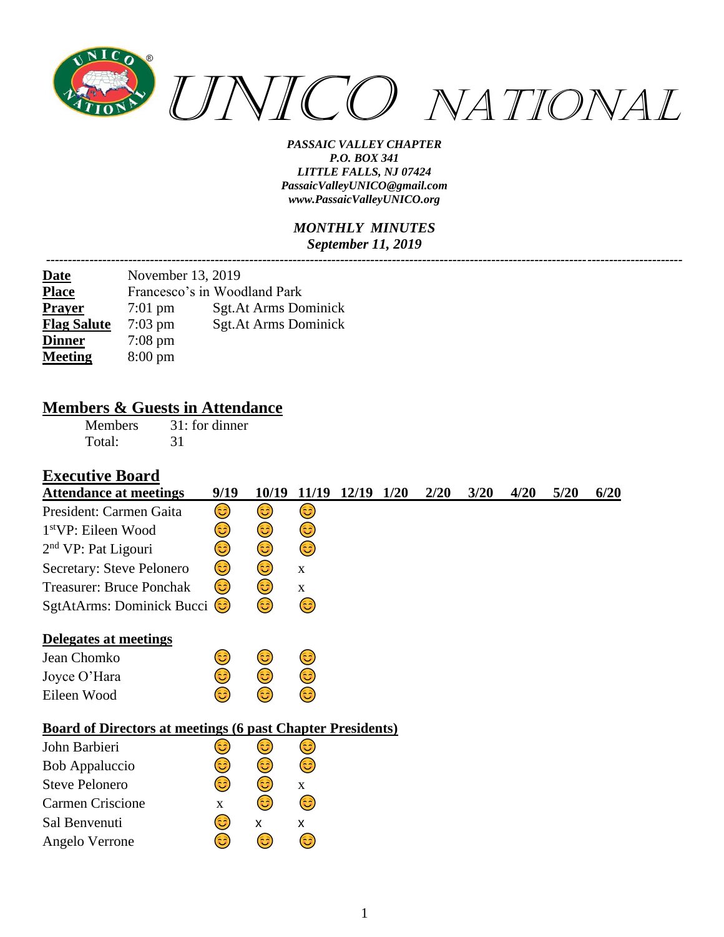

#### *MONTHLY MINUTES September 11, 2019*

| <u>Date</u>        | November 13, 2019 |                              |
|--------------------|-------------------|------------------------------|
| <b>Place</b>       |                   | Francesco's in Woodland Park |
| <b>Prayer</b>      | $7:01$ pm         | <b>Sgt.At Arms Dominick</b>  |
| <b>Flag Salute</b> | $7:03$ pm         | <b>Sgt.At Arms Dominick</b>  |
| <b>Dinner</b>      | $7:08 \text{ pm}$ |                              |
| <b>Meeting</b>     | $8:00 \text{ pm}$ |                              |

#### **Members & Guests in Attendance**

Members 31: for dinner Total: 31

#### **Executive Board**

| <b>Attendance at meetings</b>                                     | 9/19         | 10/19 | 11/19        | 12/19 1/20 | 2/20 | 3/20 | 4/20 | 5/20 | 6/20 |
|-------------------------------------------------------------------|--------------|-------|--------------|------------|------|------|------|------|------|
| President: Carmen Gaita                                           | 3            | 3)    | 3)           |            |      |      |      |      |      |
| 1 <sup>st</sup> VP: Eileen Wood                                   | 3            | ٢     | ٢            |            |      |      |      |      |      |
| 2 <sup>nd</sup> VP: Pat Ligouri                                   | 3            | ٢     | ٢            |            |      |      |      |      |      |
| Secretary: Steve Pelonero                                         | 3)           | ٢     | $\mathbf X$  |            |      |      |      |      |      |
| <b>Treasurer: Bruce Ponchak</b>                                   | 3)           | 3     | X            |            |      |      |      |      |      |
| SgtAtArms: Dominick Bucci (C)                                     |              | 3     | 3)           |            |      |      |      |      |      |
| Delegates at meetings                                             |              |       |              |            |      |      |      |      |      |
| Jean Chomko                                                       | ٢            | 3)    | 3            |            |      |      |      |      |      |
| Joyce O'Hara                                                      | 3            | 3     | ٢            |            |      |      |      |      |      |
| Eileen Wood                                                       | 63)          | 63)   | 3            |            |      |      |      |      |      |
| <b>Board of Directors at meetings (6 past Chapter Presidents)</b> |              |       |              |            |      |      |      |      |      |
| John Barbieri                                                     | ی            | 3)    | 3)           |            |      |      |      |      |      |
| <b>Bob Appaluccio</b>                                             | 3            | فكأ   | ٢            |            |      |      |      |      |      |
| <b>Steve Pelonero</b>                                             | ٢            | 3)    | $\mathbf{X}$ |            |      |      |      |      |      |
| <b>Carmen Criscione</b>                                           | $\mathbf{X}$ | ٢     | ٢            |            |      |      |      |      |      |
| Sal Benvenuti                                                     | 3)           | X     | X            |            |      |      |      |      |      |
| Angelo Verrone                                                    | ಡಿ           | 3     | ಟ            |            |      |      |      |      |      |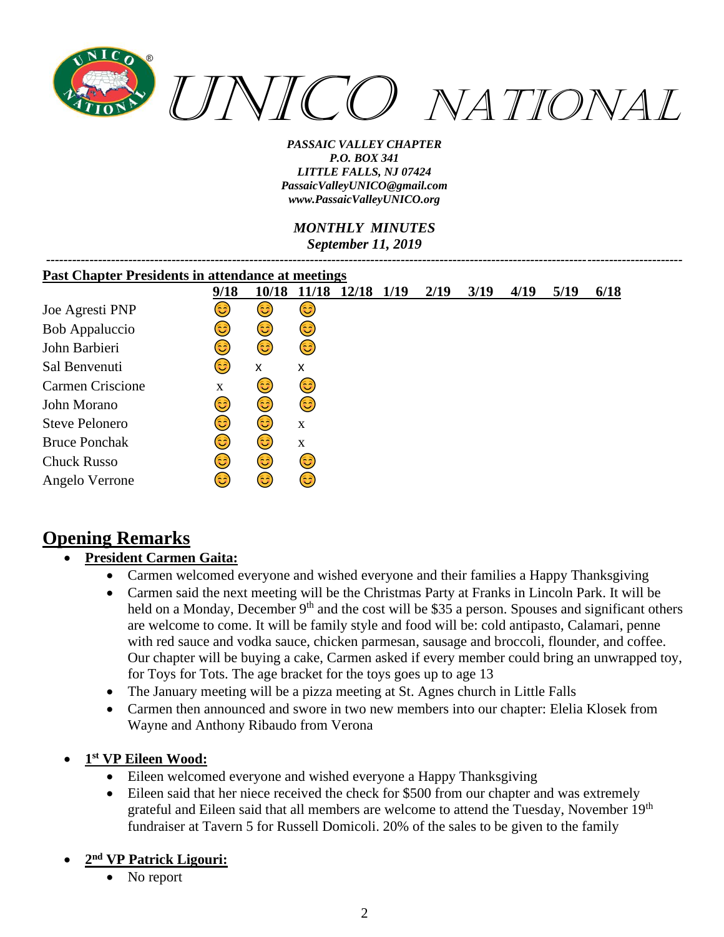

*MONTHLY MINUTES September 11, 2019*

| <b>Past Chapter Presidents in attendance at meetings</b> |            |       |              |            |  |      |      |      |      |      |
|----------------------------------------------------------|------------|-------|--------------|------------|--|------|------|------|------|------|
|                                                          | 9/18       | 10/18 | <b>11/18</b> | 12/18 1/19 |  | 2/19 | 3/19 | 4/19 | 5/19 | 6/18 |
| Joe Agresti PNP                                          | ತಿ         | 3)    | 3)           |            |  |      |      |      |      |      |
| <b>Bob Appaluccio</b>                                    | 3          | 3)    | 3)           |            |  |      |      |      |      |      |
| John Barbieri                                            | 3          | 6     | (3           |            |  |      |      |      |      |      |
| Sal Benvenuti                                            | 3          | X     | X            |            |  |      |      |      |      |      |
| Carmen Criscione                                         | X          | 3     | 3)           |            |  |      |      |      |      |      |
| John Morano                                              | 3          | 6     | 6            |            |  |      |      |      |      |      |
| <b>Steve Pelonero</b>                                    | <u>(ಚಿ</u> | (3    | X            |            |  |      |      |      |      |      |
| <b>Bruce Ponchak</b>                                     | 3          | 3)    | $\mathbf X$  |            |  |      |      |      |      |      |
| <b>Chuck Russo</b>                                       | (ಚಿ        | 6     | 3)           |            |  |      |      |      |      |      |
| Angelo Verrone                                           | ಡಿ         | 3     | 3            |            |  |      |      |      |      |      |

# **Opening Remarks**

#### • **President Carmen Gaita:**

- Carmen welcomed everyone and wished everyone and their families a Happy Thanksgiving
- Carmen said the next meeting will be the Christmas Party at Franks in Lincoln Park. It will be held on a Monday, December  $9<sup>th</sup>$  and the cost will be \$35 a person. Spouses and significant others are welcome to come. It will be family style and food will be: cold antipasto, Calamari, penne with red sauce and vodka sauce, chicken parmesan, sausage and broccoli, flounder, and coffee. Our chapter will be buying a cake, Carmen asked if every member could bring an unwrapped toy, for Toys for Tots. The age bracket for the toys goes up to age 13
- The January meeting will be a pizza meeting at St. Agnes church in Little Falls
- Carmen then announced and swore in two new members into our chapter: Elelia Klosek from Wayne and Anthony Ribaudo from Verona
- **1 st VP Eileen Wood:**
	- Eileen welcomed everyone and wished everyone a Happy Thanksgiving
	- Eileen said that her niece received the check for \$500 from our chapter and was extremely grateful and Eileen said that all members are welcome to attend the Tuesday, November 19th fundraiser at Tavern 5 for Russell Domicoli. 20% of the sales to be given to the family

#### • **2 nd VP Patrick Ligouri:**

No report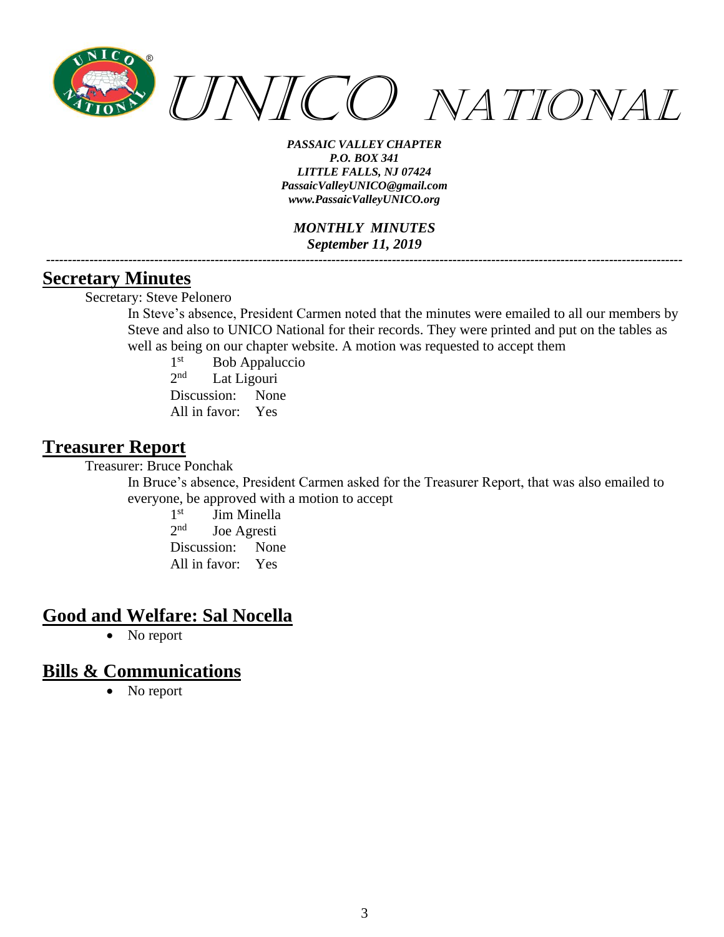

*MONTHLY MINUTES September 11, 2019*

*---------------------------------------------------------------------------------------------------------------------------------------------------*

#### **Secretary Minutes**

Secretary: Steve Pelonero

In Steve's absence, President Carmen noted that the minutes were emailed to all our members by Steve and also to UNICO National for their records. They were printed and put on the tables as well as being on our chapter website. A motion was requested to accept them

 $1<sup>st</sup>$ Bob Appaluccio  $2<sup>nd</sup>$ Lat Ligouri Discussion: None All in favor: Yes

### **Treasurer Report**

Treasurer: Bruce Ponchak

In Bruce's absence, President Carmen asked for the Treasurer Report, that was also emailed to everyone, be approved with a motion to accept

> 1<sup>st</sup> Jim Minella  $2<sub>nd</sub>$ Joe Agresti Discussion: None All in favor: Yes

## **Good and Welfare: Sal Nocella**

• No report

### **Bills & Communications**

• No report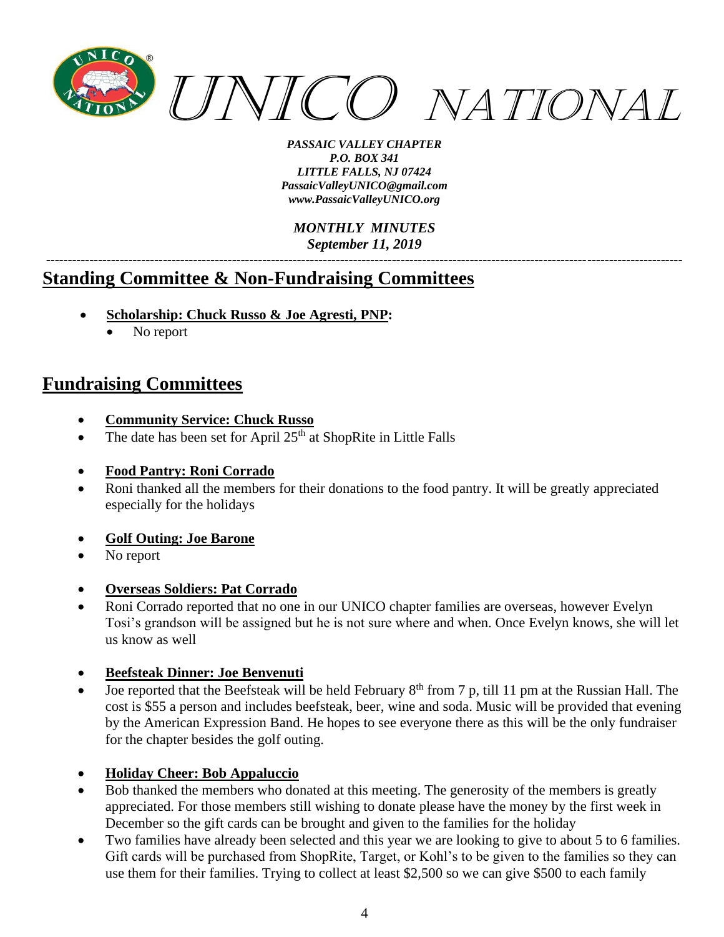

*MONTHLY MINUTES September 11, 2019*

*---------------------------------------------------------------------------------------------------------------------------------------------------*

# **Standing Committee & Non-Fundraising Committees**

- **Scholarship: Chuck Russo & Joe Agresti, PNP:**
	- No report

# **Fundraising Committees**

- **Community Service: Chuck Russo**
- The date has been set for April  $25<sup>th</sup>$  at ShopRite in Little Falls
- **Food Pantry: Roni Corrado**
- Roni thanked all the members for their donations to the food pantry. It will be greatly appreciated especially for the holidays
- **Golf Outing: Joe Barone**
- No report
- **Overseas Soldiers: Pat Corrado**
- Roni Corrado reported that no one in our UNICO chapter families are overseas, however Evelyn Tosi's grandson will be assigned but he is not sure where and when. Once Evelyn knows, she will let us know as well
- **Beefsteak Dinner: Joe Benvenuti**
- Joe reported that the Beefsteak will be held February 8<sup>th</sup> from 7 p, till 11 pm at the Russian Hall. The cost is \$55 a person and includes beefsteak, beer, wine and soda. Music will be provided that evening by the American Expression Band. He hopes to see everyone there as this will be the only fundraiser for the chapter besides the golf outing.
- **Holiday Cheer: Bob Appaluccio**
- Bob thanked the members who donated at this meeting. The generosity of the members is greatly appreciated. For those members still wishing to donate please have the money by the first week in December so the gift cards can be brought and given to the families for the holiday
- Two families have already been selected and this year we are looking to give to about 5 to 6 families. Gift cards will be purchased from ShopRite, Target, or Kohl's to be given to the families so they can use them for their families. Trying to collect at least \$2,500 so we can give \$500 to each family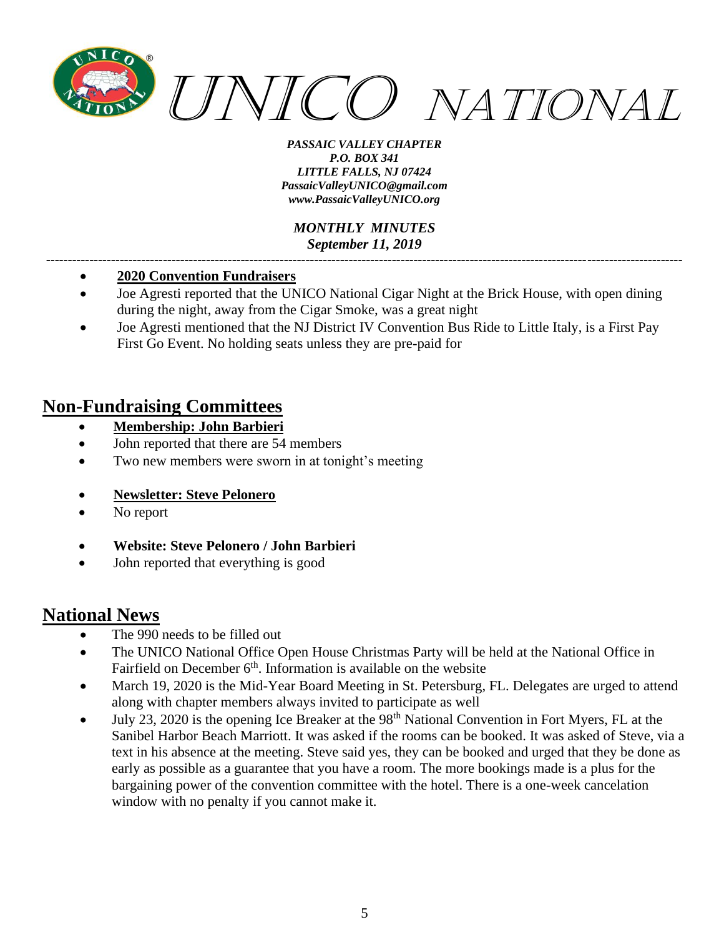

*MONTHLY MINUTES September 11, 2019*

*---------------------------------------------------------------------------------------------------------------------------------------------------*

- **2020 Convention Fundraisers**
- Joe Agresti reported that the UNICO National Cigar Night at the Brick House, with open dining during the night, away from the Cigar Smoke, was a great night
- Joe Agresti mentioned that the NJ District IV Convention Bus Ride to Little Italy, is a First Pay First Go Event. No holding seats unless they are pre-paid for

# **Non-Fundraising Committees**

- **Membership: John Barbieri**
- John reported that there are 54 members
- Two new members were sworn in at tonight's meeting
- **Newsletter: Steve Pelonero**
- No report
- **Website: Steve Pelonero / John Barbieri**
- John reported that everything is good

### **National News**

- The 990 needs to be filled out
- The UNICO National Office Open House Christmas Party will be held at the National Office in Fairfield on December 6<sup>th</sup>. Information is available on the website
- March 19, 2020 is the Mid-Year Board Meeting in St. Petersburg, FL. Delegates are urged to attend along with chapter members always invited to participate as well
- July 23, 2020 is the opening Ice Breaker at the 98<sup>th</sup> National Convention in Fort Myers, FL at the Sanibel Harbor Beach Marriott. It was asked if the rooms can be booked. It was asked of Steve, via a text in his absence at the meeting. Steve said yes, they can be booked and urged that they be done as early as possible as a guarantee that you have a room. The more bookings made is a plus for the bargaining power of the convention committee with the hotel. There is a one-week cancelation window with no penalty if you cannot make it.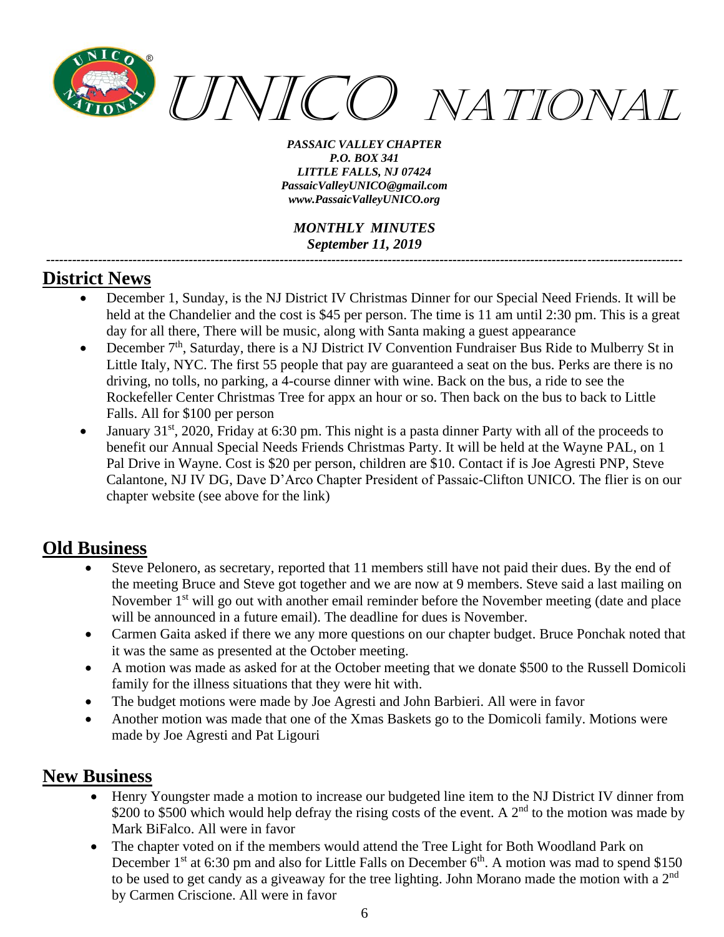

*MONTHLY MINUTES September 11, 2019*

*---------------------------------------------------------------------------------------------------------------------------------------------------*

### **District News**

- December 1, Sunday, is the NJ District IV Christmas Dinner for our Special Need Friends. It will be held at the Chandelier and the cost is \$45 per person. The time is 11 am until 2:30 pm. This is a great day for all there, There will be music, along with Santa making a guest appearance
- December  $7<sup>th</sup>$ , Saturday, there is a NJ District IV Convention Fundraiser Bus Ride to Mulberry St in Little Italy, NYC. The first 55 people that pay are guaranteed a seat on the bus. Perks are there is no driving, no tolls, no parking, a 4-course dinner with wine. Back on the bus, a ride to see the Rockefeller Center Christmas Tree for appx an hour or so. Then back on the bus to back to Little Falls. All for \$100 per person
- January  $31<sup>st</sup>$ , 2020, Friday at 6:30 pm. This night is a pasta dinner Party with all of the proceeds to benefit our Annual Special Needs Friends Christmas Party. It will be held at the Wayne PAL, on 1 Pal Drive in Wayne. Cost is \$20 per person, children are \$10. Contact if is Joe Agresti PNP, Steve Calantone, NJ IV DG, Dave D'Arco Chapter President of Passaic-Clifton UNICO. The flier is on our chapter website (see above for the link)

## **Old Business**

- Steve Pelonero, as secretary, reported that 11 members still have not paid their dues. By the end of the meeting Bruce and Steve got together and we are now at 9 members. Steve said a last mailing on November 1<sup>st</sup> will go out with another email reminder before the November meeting (date and place will be announced in a future email). The deadline for dues is November.
- Carmen Gaita asked if there we any more questions on our chapter budget. Bruce Ponchak noted that it was the same as presented at the October meeting.
- A motion was made as asked for at the October meeting that we donate \$500 to the Russell Domicoli family for the illness situations that they were hit with.
- The budget motions were made by Joe Agresti and John Barbieri. All were in favor
- Another motion was made that one of the Xmas Baskets go to the Domicoli family. Motions were made by Joe Agresti and Pat Ligouri

## **New Business**

- Henry Youngster made a motion to increase our budgeted line item to the NJ District IV dinner from \$200 to \$500 which would help defray the rising costs of the event. A  $2<sup>nd</sup>$  to the motion was made by Mark BiFalco. All were in favor
- The chapter voted on if the members would attend the Tree Light for Both Woodland Park on December  $1<sup>st</sup>$  at 6:30 pm and also for Little Falls on December  $6<sup>th</sup>$ . A motion was mad to spend \$150 to be used to get candy as a giveaway for the tree lighting. John Morano made the motion with a  $2<sup>nd</sup>$ by Carmen Criscione. All were in favor